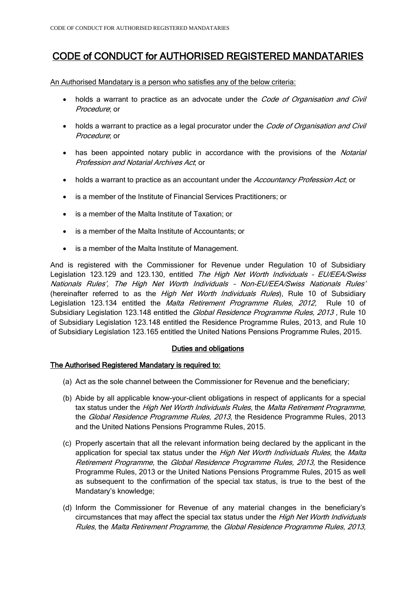# CODE of CONDUCT for AUTHORISED REGISTERED MANDATARIES

An Authorised Mandatary is a person who satisfies any of the below criteria:

- holds a warrant to practice as an advocate under the Code of Organisation and Civil Procedure; or
- holds a warrant to practice as a legal procurator under the *Code of Organisation and Civil* Procedure; or
- has been appointed notary public in accordance with the provisions of the *Notarial* Profession and Notarial Archives Act; or
- holds a warrant to practice as an accountant under the Accountancy Profession Act, or
- is a member of the Institute of Financial Services Practitioners; or
- is a member of the Malta Institute of Taxation; or
- is a member of the Malta Institute of Accountants; or
- is a member of the Malta Institute of Management.

And is registered with the Commissioner for Revenue under Regulation 10 of Subsidiary Legislation 123.129 and 123.130, entitled The High Net Worth Individuals - EU/EEA/Swiss Nationals Rules', The High Net Worth Individuals – Non-EU/EEA/Swiss Nationals Rules' (hereinafter referred to as the *High Net Worth Individuals Rules*), Rule 10 of Subsidiary Legislation 123.134 entitled the *Malta Retirement Programme Rules, 2012*, Rule 10 of Subsidiary Legislation 123.148 entitled the Global Residence Programme Rules, 2013, Rule 10 of Subsidiary Legislation 123.148 entitled the Residence Programme Rules, 2013, and Rule 10 of Subsidiary Legislation 123.165 entitled the United Nations Pensions Programme Rules, 2015.

# Duties and obligations

# The Authorised Registered Mandatary is required to:

- (a) Act as the sole channel between the Commissioner for Revenue and the beneficiary;
- (b) Abide by all applicable know-your-client obligations in respect of applicants for a special tax status under the High Net Worth Individuals Rules, the Malta Retirement Programme, the Global Residence Programme Rules, 2013, the Residence Programme Rules, 2013 and the United Nations Pensions Programme Rules, 2015.
- (c) Properly ascertain that all the relevant information being declared by the applicant in the application for special tax status under the High Net Worth Individuals Rules, the Malta Retirement Programme, the Global Residence Programme Rules, 2013, the Residence Programme Rules, 2013 or the United Nations Pensions Programme Rules, 2015 as well as subsequent to the confirmation of the special tax status, is true to the best of the Mandatary's knowledge;
- (d) Inform the Commissioner for Revenue of any material changes in the beneficiary's circumstances that may affect the special tax status under the *High Net Worth Individuals* Rules, the Malta Retirement Programme, the Global Residence Programme Rules, 2013,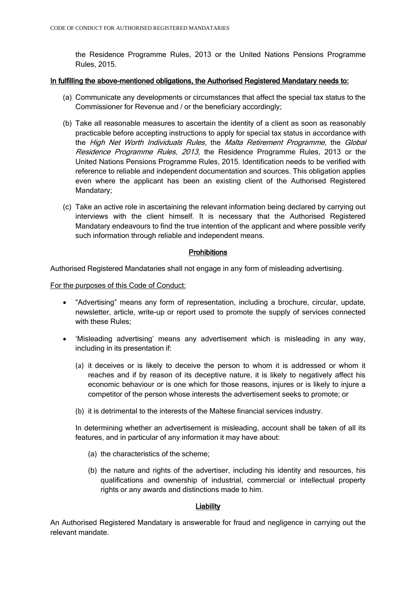the Residence Programme Rules, 2013 or the United Nations Pensions Programme Rules, 2015.

#### In fulfilling the above-mentioned obligations, the Authorised Registered Mandatary needs to:

- (a) Communicate any developments or circumstances that affect the special tax status to the Commissioner for Revenue and / or the beneficiary accordingly;
- (b) Take all reasonable measures to ascertain the identity of a client as soon as reasonably practicable before accepting instructions to apply for special tax status in accordance with the High Net Worth Individuals Rules, the Malta Retirement Programme, the Global Residence Programme Rules, 2013, the Residence Programme Rules, 2013 or the United Nations Pensions Programme Rules, 2015. Identification needs to be verified with reference to reliable and independent documentation and sources. This obligation applies even where the applicant has been an existing client of the Authorised Registered Mandatary;
- (c) Take an active role in ascertaining the relevant information being declared by carrying out interviews with the client himself. It is necessary that the Authorised Registered Mandatary endeavours to find the true intention of the applicant and where possible verify such information through reliable and independent means.

#### **Prohibitions**

Authorised Registered Mandataries shall not engage in any form of misleading advertising.

For the purposes of this Code of Conduct:

- "Advertising" means any form of representation, including a brochure, circular, update, newsletter, article, write-up or report used to promote the supply of services connected with these Rules;
- 'Misleading advertising' means any advertisement which is misleading in any way, including in its presentation if:
	- (a) it deceives or is likely to deceive the person to whom it is addressed or whom it reaches and if by reason of its deceptive nature, it is likely to negatively affect his economic behaviour or is one which for those reasons, injures or is likely to injure a competitor of the person whose interests the advertisement seeks to promote; or
	- (b) it is detrimental to the interests of the Maltese financial services industry.

In determining whether an advertisement is misleading, account shall be taken of all its features, and in particular of any information it may have about:

- (a) the characteristics of the scheme;
- (b) the nature and rights of the advertiser, including his identity and resources, his qualifications and ownership of industrial, commercial or intellectual property rights or any awards and distinctions made to him.

# **Liability**

An Authorised Registered Mandatary is answerable for fraud and negligence in carrying out the relevant mandate.